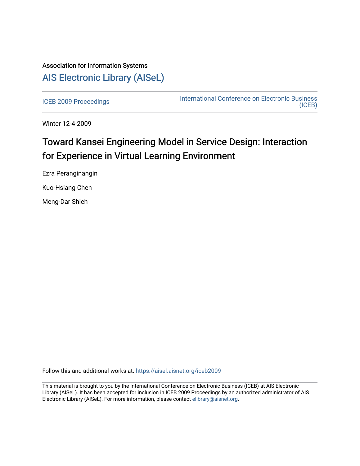# Association for Information Systems [AIS Electronic Library \(AISeL\)](https://aisel.aisnet.org/)

[ICEB 2009 Proceedings](https://aisel.aisnet.org/iceb2009) **International Conference on Electronic Business** [\(ICEB\)](https://aisel.aisnet.org/iceb) 

Winter 12-4-2009

# Toward Kansei Engineering Model in Service Design: Interaction for Experience in Virtual Learning Environment

Ezra Peranginangin Kuo-Hsiang Chen

Meng-Dar Shieh

Follow this and additional works at: [https://aisel.aisnet.org/iceb2009](https://aisel.aisnet.org/iceb2009?utm_source=aisel.aisnet.org%2Ficeb2009%2F56&utm_medium=PDF&utm_campaign=PDFCoverPages)

This material is brought to you by the International Conference on Electronic Business (ICEB) at AIS Electronic Library (AISeL). It has been accepted for inclusion in ICEB 2009 Proceedings by an authorized administrator of AIS Electronic Library (AISeL). For more information, please contact [elibrary@aisnet.org.](mailto:elibrary@aisnet.org%3E)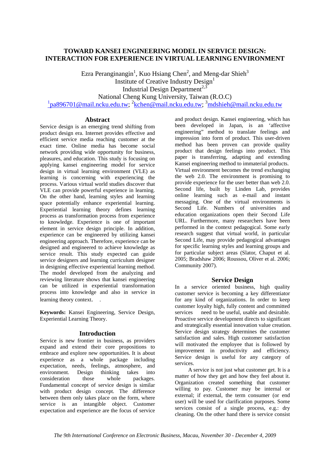# **TOWARD KANSEI ENGINEERING MODEL IN SERVICE DESIGN: INTERACTION FOR EXPERIENCE IN VIRTUAL LEARNING ENVIRONMENT**

Ezra Peranginangin<sup>1</sup>, Kuo Hsiang Chen<sup>2</sup>, and Meng-dar Shieh<sup>3</sup> Institute of Creative Industry Design<sup>1</sup> Industrial Design Department<sup>2,3</sup> National Cheng Kung University, Taiwan (R.O.C) <sup>1</sup>pa896701@mail.ncku.edu.tw; <sup>2</sup>kchen@mail.ncku.edu.tw; <sup>3</sup>mdshieh@mail.ncku.edu.tw

# **Abstract**

Service design is an emerging trend shifting from product design era. Internet provides effective and efficient service media reaching customer at the exact time. Online media has become social network providing wide opportunity for business, pleasures, and education. This study is focusing on applying kansei engineering model for service design in virtual learning environment (VLE) as learning is concerning with experiencing the process. Various virtual world studies discover that VLE can provide powerful experience in learning. On the other hand, learning styles and learning space potentially enhance experiential learning. Experiential learning theory defines learning process as transformation process from experience to knowledge. Experience is one of important element in service design principle. In addition, experience can be engineered by utilizing kansei engineering approach. Therefore, experience can be designed and engineered to achieve knowledge as service result. This study expected can guide service designers and learning curriculum designer in designing effective experiential learning method. The model developed from the analyzing and reviewing literature shows that kansei engineering can be utilized in experiential transformation process into knowledge and also in service in learning theory context.

**Keywords:** Kansei Engineering, Service Design, Experiential Learning Theory.

# **Introduction**

Service is new frontier in business, as providers expand and extend their core propositions to embrace and explore new opportunities. It is about experience as a whole package including expectation, needs, feelings, atmosphere, and environment. Design thinking takes into consideration those whole packages. Fundamental concept of service design is similar with product design concept. The difference between them only takes place on the form, where service is an intangible object. Customer expectation and experience are the focus of service

and product design. Kansei engineering, which has been developed in Japan, is an 'affective engineering" method to translate feelings and impression into form of product. This user-driven method has been proven can provide quality product that design feelings into product. This paper is transferring, adapting and extending Kansei engineering method to immaterial products. Virtual environment becomes the trend exchanging the web 2.0. The environment is promising to provide experience for the user better than web 2.0. Second life, built by Linden Lab, provides online learning such as e-mail and instant messaging. One of the virtual environments is Second Life. Numbers of universities and education organizations open their Second Life URL. Furthermore, many researchers have been performed in the context pedagogical. Some early research suggest that virtual world, in particular Second Life, may provide pedagogical advantages for specific learning styles and learning groups and for particular subject areas (Slator, Chaput et al. 2005; Bradshaw 2006; Roussou, Oliver et al. 2006; Community 2007).

# **Service Design**

In a service oriented business, high quality customer service is becoming a key differentiator for any kind of organizations. In order to keep customer loyalty high, fully content and committed services need to be useful, usable and desirable. Proactive service development directs to significant and strategically essential innovation value creation. Service design strategy determines the customer satisfaction and sales. High customer satisfaction will motivated the employee that is followed by improvement in productivity and efficiency. Service design is useful for any category of services.

A service is not just what customer get. It is a matter of how they get and how they feel about it. Organization created something that customer willing to pay. Customer may be internal or external; if external, the term consumer (or end user) will be used for clarification purposes. Some services consist of a single process, e.g.: dry cleaning. On the other hand there is service consist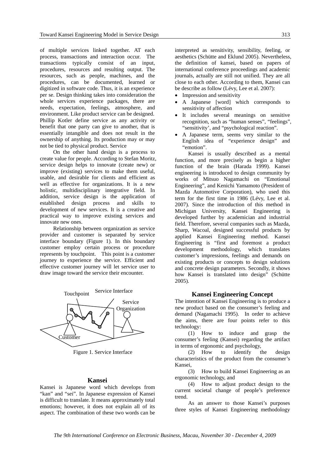of multiple services linked together. AT each process, transactions and interaction occur. The transactions typically consist of an input, procedures, resources and resulting output. The resources, such as people, machines, and the procedures, can be documented, learned or digitized in software code. Thus, it is an experience per se. Design thinking takes into consideration the whole services experience packages, there are needs, expectation, feelings, atmosphere, and environment. Like product service can be designed. Phillip Kotler define service as any activity or benefit that one party can give to another, that is essentially intangible and does not result in the ownership of anything. Its production may or may not be tied to physical product. Service

On the other hand design is a process to create value for people. According to Stefan Moritz, service design helps to innovate (create new) or improve (existing) services to make them useful, usable, and desirable for clients and efficient as well as effective for organizations. It is a new holistic, multidisciplinary integrative field. In addition, service design is the application of established design process and skills to development of new services. It is a creative and practical way to improve existing services and innovate new ones.

Relationship between organization as service provider and customer is separated by service interface boundary (Figure 1). In this boundary customer employ certain process or procedure represents by touchpoint. This point is a customer journey to experience the service. Efficient and effective customer journey will let service user to draw image toward the service their encounter.



Figure 1. Service Interface

#### **Kansei**

Kansei is Japanese word which develops from "kan" and "sei". In Japanese expression of Kansei is difficult to translate. It means approximately total emotions; however, it does not explain all of its aspect. The combination of these two words can be

interpreted as sensitivity, sensibility, feeling, or aesthetics (Schütte and Eklund 2005). Nevertheless, the definition of kansei, based on papers of international conference proceedings and academic journals, actually are still not unified. They are all close to each other. According to them, Kansei can be describe as follow (Lévy, Lee et al. 2007):

- Impression and sensitivity
- A Japanese [word] which corresponds to sensitivity of affection
- It includes several meanings on sensitive recognition, such as "human senses", "feelings", "sensitivity', and "psychological reaction".
- A Japanese term, seems very similar to the English idea of "experience design" and "emotion".

Kansei is usually described as a mental function, and more precisely as begin a higher function of the brain (Harada 1999). Kansei engineering is introduced to design community by works of Mitsuo Nagamachi on "Emotional Engineering", and Kenichi Yamamoto (President of Mazda Automotive Corporation), who used this term for the first time in 1986 (Lévy, Lee et al. 2007). Since the introduction of this method in Michigan University, Kansei Engineering is developed further by academician and industrial field. Therefore, several companies such as Mazda, Sharp, Wacoal, designed successful products by applied Kansei Engineering method. Kansei Engineering is "first and foremost a product development methodology, which translates customer's impressions, feelings and demands on existing products or concepts to design solutions and concrete design parameters. Secondly, it shows how Kansei is translated into design" (Schütte 2005).

#### **Kansei Engineering Concept**

The intention of Kansei Engineering is to produce a new product based on the consumer's feeling and demand (Nagamachi 1995). In order to achieve the aims, there are four points refer to this technology:

(1) How to induce and grasp the consumer's feeling (Kansei) regarding the artifact in terms of ergonomic and psychology,

(2) How to identify the design characteristics of the product from the consumer's Kansei,

(3) How to build Kansei Engineering as an ergonomic technology, and

(4) How to adjust product design to the current societal change of people's preference trend.

As an answer to those Kansei's purposes three styles of Kansei Engineering methodology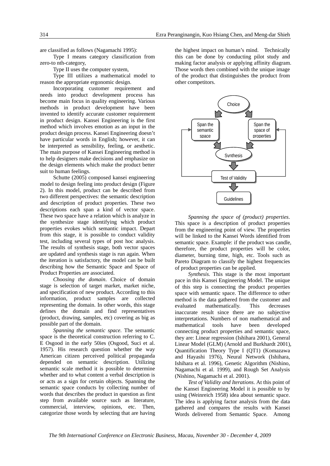are classified as follows (Nagamachi 1995):

Type I means category classification from zero-to nth-category,

Type II uses the computer system,

Type III utilizes a mathematical model to reason the appropriate ergonomic design.

Incorporating customer requirement and needs into product development process has become main focus in quality engineering. Various methods in product development have been invented to identify accurate customer requirement in product design. Kansei Engineering is the first method which involves emotion as an input in the product design process. Kansei Engineering doesn't have particular words in English; however, it can be interpreted as sensibility, feeling, or aesthetic. The main purpose of Kansei Engineering method is to help designers make decisions and emphasize on the design elements which make the product better suit to human feelings.

Schutte (2005) composed kansei engineering model to design feeling into product design (Figure 2). In this model, product can be described from two different perspectives: the semantic description and description of product properties. These two descriptions each span a kind of vector space. These two space have a relation which is analyze in the synthesize stage identifying which product properties evokes which semantic impact. Depart from this stage, it is possible to conduct validity test, including several types of post hoc analysis. The results of synthesis stage, both vector spaces are updated and synthesis stage is run again. When the iteration is satisfactory, the model can be built describing how the Semantic Space and Space of Product Properties are associated.

*Choosing the domain*. Choice of domain stage is selection of target market, market niche, and specification of new product. According to this information, product samples are collected representing the domain. In other words, this stage defines the domain and find representatives (product, drawing, samples, etc) covering as big as possible part of the domain.

*Spanning the semantic space.* The semantic space is the theoretical construction referring to C. E Osgood in the early 50ies (Osgood, Suci et al. 1957). His research question whether the way American citizen perceived political propaganda depended on semantic description. Utilizing semantic scale method it is possible to determine whether and to what content a verbal description is or acts as a sign for certain objects. Spanning the semantic space conducts by collecting number of words that describes the product in question as first step from available source such as literature, commercial, interview, opinions, etc. Then, categorize those words by selecting that are having

the highest impact on human's mind. Technically this can be done by conducting pilot study and making factor analysis or applying affinity diagram. Those words then combined with the unique image of the product that distinguishes the product from other competitors.



*Spanning the space of (product) properties*. This space is a description of product properties from the engineering point of view. The properties will be linked to the Kansei Words identified from semantic space. Example: if the product was candle, therefore, the product properties will be color, diameter, burning time, high, etc. Tools such as Pareto Diagram to classify the highest frequencies of product properties can be applied.

*Synthesis*. This stage is the most important pace in this Kansei Engineering Model. The unique of this step is connecting the product properties space with semantic space. The difference to other method is the data gathered from the customer and evaluated mathematically. This decreases inaccurate result since there are no subjective interpretations. Numbers of non mathematical and mathematical tools have been developed connecting product properties and semantic space, they are: Linear regression (Ishihara 2001), General Linear Model (GLM) (Arnold and Burkhardt 2001), Quantification Theory Type I (QT1) (Komazawa and Hayashi 1976), Neural Network (Ishihara, Ishihara et al. 1996), Genetic Algorithm (Nishino, Nagamachi et al. 1999), and Rough Set Analysis (Nishino, Nagamachi et al. 2001).

*Test of Validity and Iterations*. At this point of the Kansei Engineering Model it is possible to by using (Weinreich 1958) idea about semantic space. The idea is applying factor analysis from the data gathered and compares the results with Kansei Words delivered from Semantic Space. Among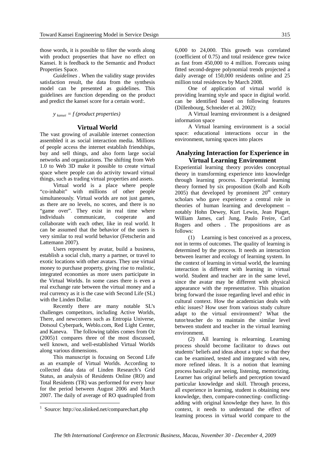those words, it is possible to filter the words along with product propserties that have no effect on Kansei. It is feedback to the Semantic and Product Properties Space.

*Guidelines* . When the validity stage provides satisfaction result, the data from the synthesis model can be presented as guidelines. This guidelines are function depending on the product and predict the kansei score for a certain word:.

*y kansei = f (product properties)* 

#### **Virtual World**

The vast growing of available internet connection assembled it as social interaction media. Millions of people access the internet establish friendships, buy and sell things, and also form large social networks and organizations. The shifting from Web 1.0 to Web 3D make it possible to create virtual space where people can do activity toward virtual things, such as trading virtual properties and assets.

Virtual world is a place where people "co-inhabit" with millions of other people simultaneously. Virtual worlds are not just games, as there are no levels, no scores, and there is no "game over". They exist in real time where individuals communicate, cooperate and collaborate with each other, like in real world. It can be assumed that the behavior of the users is very similar to real world behavior (Fetscherin and Lattemann 2007).

Users represent by avatar, build a business, establish a social club, marry a partner, or travel to exotic locations with other avatars. They use virtual money to purchase property, giving rise to realistic, integrated economies as more users participate in the Virtual Worlds. In some cases there is even a real exchange rate between the virtual money and a real currency as it is the case with Second Life (SL) with the Linden Dollar.

Recently there are many notable SL's challenges competitors, including Active Worlds, There, and newcomers such as Entropia Universe, Dotsoul Cyberpark, Weblo.com, Red Light Center, and Kaneva. The following tables comes from Oz (2005)1 compares three of the most discussed, well known, and well-established Virtual Worlds along various dimensions.

This manuscript is focusing on Second Life as an example of Virtual Worlds. According to collected data data of Linden Research's Grid Status, an analysis of Residents Online (RO) and Total Residents (TR) was performed for every hour for the period between August 2006 and March 2007. The daily of average of RO quadrupled from

1

6,000 to 24,000. This growth was correlated (coefficient of 0.75) and total residence grew twice as fast from 450,000 to 4 million. Forecasts using fitted second-degree polynomial trends projected a daily average of 150,000 residents online and 25 million total residences by March 2008.

One of application of virtual world is providing learning style and space in digital world. can be identified based on following features (Dillenbourg, Schneider et al. 2002):

A Virtual learning environment is a designed information space

A Virtual learning environment is a social space: educational interactions occur in the environment, turning spaces into places

#### **Analyzing Interaction for Experience in Virtual Learning Environment**

Experiential learning theory provides conceptual theory in transforming experience into knowledge through learning process. Experiential learning theory formed by six proposition (Kolb and Kolb 2005) that developed by prominent  $20<sup>th</sup>$  century scholars who gave experience a central role in theories of human learning and development – notably Hohn Dewey, Kurt Lewin, Jean Piaget, William James, carl Jung, Paulo Freire, Carl Rogers and others . The propositions are as follows:

(1) Learning is best conceived as a process, not in terms of outcomes. The quality of learning is determined by the process. It needs an interaction between learner and ecology of learning system. In the context of learning in virtual world, the learning interaction is different with learning in virtual world. Student and teacher are in the same level, since the avatar may be different with physical appearance with the representative. This situation bring forward the issue regarding level and ethic in cultural context. How the academician deals with ethic issues? How user from various study culture adapt to the virtual environment? What the tutor/teacher do to maintain the similar level between student and teacher in the virtual learning environment.

(2) All learning is relearning. Learning process should become facilitator to draws out students' beliefs and ideas about a topic so that they can be examined, tested and integrated with new, more refined ideas. It is a notion that learning process basically are seeing, listening, memorizing. Learner has original beliefs and perception toward particular knowledge and skill. Through process, all experience in learning, student is obtaining new knowledge, then, compare-connecting- conflictingadding with original knowledge they have. In this context, it needs to understand the effect of learning process in virtual world compare to the

<sup>1</sup> Source: http://oz.slinked.net/comparechart.php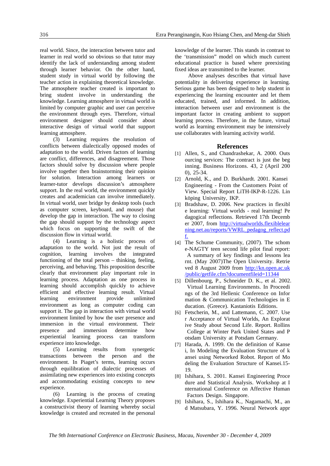real world. Since, the interaction between tutor and learner in real world so obvious so that tutor may identify the lack of understanding among student through learner behavior. On the other hand, student study in virtual world by following the teacher action in explaining theoretical knowledge. The atmosphere teacher created is important to bring student involve in understanding the knowledge. Learning atmosphere in virtual world is limited by computer graphic and user can perceive the environment through eyes. Therefore, virtual environment designer should consider about interactive design of virtual world that support learning atmosphere.

(3) Learning requires the resolution of conflicts between dialectically opposed modes of adaptation to the world. Driven factors of learning are conflict, differences, and disagreement. Those factors should solve by discussion where people involve together then brainstorming their opinion for solution. Interaction among learners or learner-tutor develops discussion's atmosphere support. In the real world, the environment quickly creates and academician can involve immediately. In virtual world, user bridge by desktop tools (such as computer screen, keyboard, and mouse) that develop the gap in interaction. The way to closing the gap should support by the technology aspect which focus on supporting the swift of the discussion flow in virtual world.

(4) Learning is a holistic process of adaptation to the world. Not just the result of cognition, learning involves the integrated functioning of the total person – thinking, feeling, perceiving, and behaving. This proposition describe clearly that environment play important role in learning process. Adaptation as one process in learning should accomplish quickly to achieve efficient and effective learning result. Virtual learning environment provide unlimited environment as long as computer coding can support it. The gap in interaction with virtual world environment limited by how the user presence and immersion in the virtual environment. Their<br>presence and immersion determine how presence and immersion determine how experiential learning process can transform experience into knowledge.

(5) Learning results from synergetic transactions between the person and the environment. In Piaget's terms, learning occurs through equilibration of dialectic processes of assimilating new experiences into existing concepts and accommodating existing concepts to new experience.

(6) Learning is the process of creating knowledge. Experiential Learning Theory proposes a constructivist theory of learning whereby social knowledge is created and recreated in the personal

knowledge of the learner. This stands in contrast to the 'transmission" model on which much current educational practice is based where preexisting fixed ideas are transmitted to the learner.

Above analyses describes that virtual have potentiality in delivering experience in learning. Serious game has been designed to help student in experiencing the learning encounter and let them educated, trained, and informed. In addition, interaction between user and environment is the important factor in creating ambient to support learning process. Therefore, in the future, virtual world as learning environment may be intensively use collaborates with learning activity world.

#### **References**

- [1] Allen, S., and Chandrashekar, A. 2000. Outs ourcing services: The contract is just the beg inning. Business Horizons. 43, 2 (April 200 0), 25-34.
- [2] Arnold, K., and D. Burkhardt. 2001. Kansei Engineering - From the Customers Point of View. Special Report LiTH-IKP-R-1226. Lin köping University, IKP.
- [3] Bradshaw, D. 2006. New practices in flexibl e learning: Virtual worlds - real learning! Pe dagogical reflections. Retrieved 17th Decemb er 2007, from http://virtualworlds.flexiblelear ning.net.au/reports/VWRL\_pedagog\_reflect.pd f.
- [4] The Schume Community, (2007). The schom e-NAGTY teen second life pilot final report: A summary of key findings and lessons lea rnt. (May 2007)The Open University. Retrie ved 8 August 2009 from http://kn.open.ac.uk /public/getfile.cfm?documentfileid=11344
- [5] Dillenbourg, P., Schneider D. K., et al. 2002. Virtual Learning Environments. In Proceedi ngs of the 3rd Hellenic Conference on Infor mation & Communication Technologies in E ducation. (Greece). Kastaniotis Editions.
- [6] Fetscherin, M., and Lattemann, C. 2007. Use r Acceptance of Virtual Worlds, An Explorat ive Study about Second Life. Report. Rollins College at Winter Park United States and P otsdam University at Potsdam Germany.
- [7] Harada, A. 1999. On the definition of Kanse i, In Modeling the Evaluation Structure of k ansei using Networked Robot. Report of Mo deling the Evaluation Structure of Kansei.15- 19.
- [8] Ishihara, S. 2001. Kansei Engineering Proce dure and Statistical Analysis. Workshop at I nternational Conference on Affective Human Factors Design. Singapore.
- [9] Ishihara, S., Ishihara K., Nagamachi, M., an d Matsubara, Y. 1996. Neural Network appr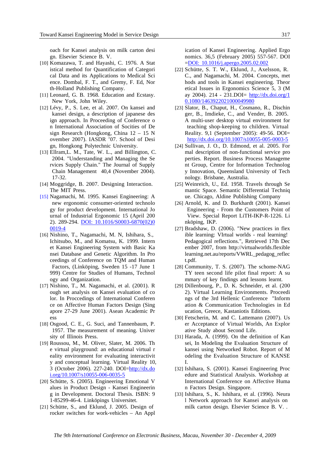oach for Kansei analysis on milk carton desi gn. Elsevier Science B. V.

- [10] Komazawa, T. and Hayashi, C. 1976. A Stat istical method for Quantification of Categori cal Data and its Applications to Medical Sci ence. Dombal, F. T., and Gremy, F. Ed, Nor th-Holland Publishing Company.
- [11] Leonard, G. B. 1968. Education and Ecstasy. New York, John Wiley.
- [12] Lévy, P., S. Lee, et al. 2007. On kansei and kansei design, a description of japanese des ign approach. In Proceeding of Conference o n International Association of Socities of De sign Research (Hongkong, China 12 – 15 N ovember 2007). IASDR '07. School of Desi gn, Hongkong Polytechnic University.
- [13] Ellram,L. M., Tate, W. L., and Billington, C. 2004. "Understanding and Managing the Se rvices Supply Chain." The Journal of Supply Chain Management 40,4 (November 2004). 17-32.
- [14] Moggridge, B. 2007. Designing Interaction. The MIT Press.
- [15] Nagamachi, M. 1995. Kansei Engineering: A new ergonomic consumer-oriented technolo gy for product development. International Jo urnal of Industrial Ergonomic 15 (April 200 2). 289-294. DOI: 10.1016/S0003-6870(02)0 0019-4
- [16] Nishino, T., Nagamachi, M. N, Ishihara, S., Ichitsubo, M., and Komatsu, K. 1999. Intern et Kansei Engineering System with Basic Ka nsei Database and Genetic Algorithm. In Pro ceedings of Conference on TQM and Human Factors, (Linköping, Sweden 15 -17 June 1 999) Centre for Studies of Humans, Technol ogy and Organization.
- [17] Nishino, T., M. Nagamachi, et al. (2001). R ough set analysis on Kansei evaluation of co lor. In Proccedings of International Conferen ce on Affective Human Factors Design (Sing apore 27-29 June 2001). Asean Academic Pr ess
- [18] Osgood, C. E., G. Suci, and Tannenbaum, P. 1957. The measurement of meaning. Univer sity of Illinois Press.
- [19] Roussou, M., M. Oliver, Slater, M. 2006. Th e virtual playground: an educational virtual r eality environment for evaluating interactivit y and conceptual learning. Virtual Reality 10, 3 (October 2006). 227-240. DOI=http://dx.do i.org/10.1007/s10055-006-0035-5
- [20] Schütte, S. (2005). Engineering Emotional V alues in Product Design - Kansei Engineerin g in Development. Doctoral Thesis. ISBN: 9 1-85299-46-4. Linköpings Universitet.
- [21] Schütte, S., and Eklund, J. 2005. Design of rocker switches for work-vehicles – An Appl

ication of Kansei Engineering. Applied Ergo nomics. 36,5 (February 2005) 557-567. DOI =DOI: 10.1016/j.apergo.2005.02.002

- [22] Schütte, S. T. W., Eklund, J., Axelsson, R. C., and Nagamachi, M. 2004. Concepts, met hods and tools in Kansei engineering. Theor etical Issues in Ergonomics Science 5, 3 (M ay 2004). 214 - 231. DOI=  $\frac{http://dx.doi.org/1}{http://dx.doi.org/1}$ 0.1080/1463922021000049980
- [23] Slator, B., Chaput, H., Cosmano, R., Dischin ger, B., Imdieke, C., and Vender, B. 2005. A multi-user desktop virtual environment for teaching shop-keeping to children. Virtual Reality. 9,1 (September 2005): 49-56. DOI= http://dx.doi.org/10.1007/s10055-005-0003-5
- [24] Sullivan, J. O., D. Edmond, et al. 2005. For mal description of non-functional service pro perties. Report. Business Process Manageme nt Group, Centre for Information Technolog y Innovation, Queensland University of Tech nology. Brisbane, Australia.
- [25] Weinreich, U., Ed. 1958. Travels through Se mantic Space. Semantic Differential Techniq ue. Chicago, Aldine Publishing Company
- [26] Arnold, K. and D. Burkhardt (2001). Kansei Engineering - From the Customers Point of View. Special Report LiTH-IKP-R-1226. Li nköping, IKP.
- [27] Bradshaw, D. (2006). "New practices in flex ible learning: VIrtual worlds - real learning! Pedagogical reflections.", Retrieved 17th Dec ember 2007, from http://virtualworlds.flexible learning.net.au/reports/VWRL\_pedagog\_reflec t.pdf.
- [28] Community, T. S. (2007). The schome-NAG TY teen second life pilot final report: A su mmary of key findings and lessons learnt.
- [29] Dillenbourg, P., D. K. Schneider, et al. (200 2). Virtual Learning Environments. Proceedi ngs of the 3rd Hellenic Conference "Inform ation & Communication Technologies in Ed ucation, Greece, Kastaniotis Editions.
- [30] Fetscherin, M. and C. Lattemann (2007). Us er Acceptance of Virtual Worlds, An Explor ative Study about Second Life.
- [31] Harada, A. (1999). On the definition of Kan sei, In Modeling the Evaluation Structure of kansei using Networked Robot. Report of M odeling the Evaluation Structure of KANSE I.
- [32] Ishihara, S. (2001). Kansei Engineering Proc edure and Statistical Analysis. Workshop at International Conference on Affective Huma n Factors Design. Singapore.
- [33] Ishihara, S., K. Ishihara, et al. (1996). Neura l Network approach for Kansei analysis on milk carton design. Elsevier Science B. V. .